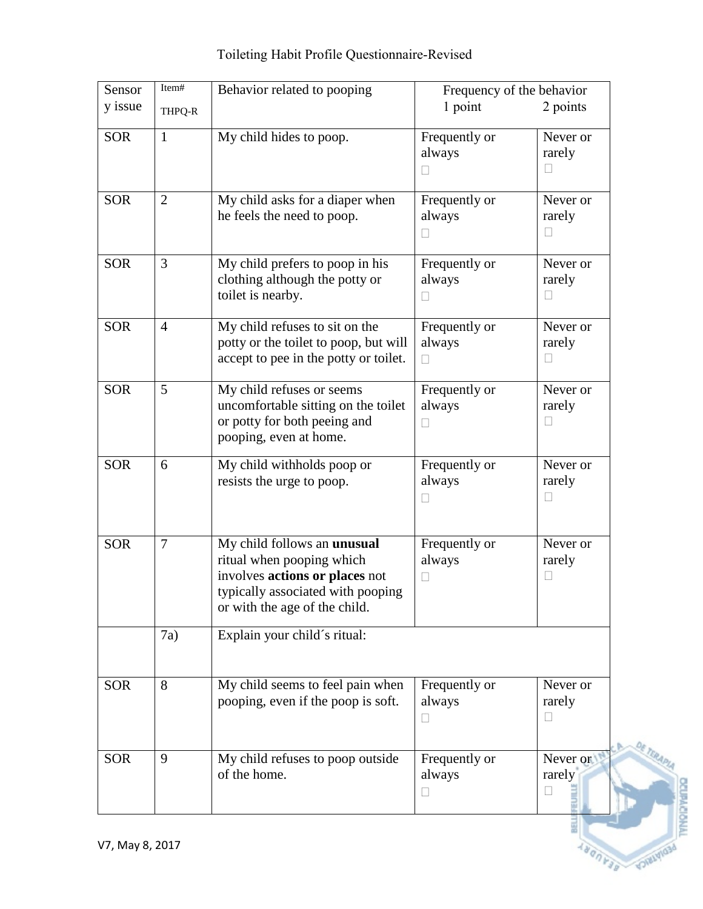| Toileting Habit Profile Questionnaire-Revised |  |  |  |
|-----------------------------------------------|--|--|--|
|                                               |  |  |  |

| Sensor     | Item#          | Behavior related to pooping                                                                                                                                      | Frequency of the behavior                    |                                      |
|------------|----------------|------------------------------------------------------------------------------------------------------------------------------------------------------------------|----------------------------------------------|--------------------------------------|
| y issue    | THPQ-R         |                                                                                                                                                                  | 1 point                                      | 2 points                             |
| <b>SOR</b> | $\mathbf{1}$   | My child hides to poop.                                                                                                                                          | Frequently or<br>always<br>$\mathbf{L}$      | Never or<br>rarely<br>Ш              |
| <b>SOR</b> | $\overline{2}$ | My child asks for a diaper when<br>he feels the need to poop.                                                                                                    | Frequently or<br>always<br>$\vert \ \ \vert$ | Never or<br>rarely<br>$\blacksquare$ |
| <b>SOR</b> | $\overline{3}$ | My child prefers to poop in his<br>clothing although the potty or<br>toilet is nearby.                                                                           | Frequently or<br>always<br>$\Box$            | Never or<br>rarely<br>$\Box$         |
| <b>SOR</b> | $\overline{4}$ | My child refuses to sit on the<br>potty or the toilet to poop, but will<br>accept to pee in the potty or toilet.                                                 | Frequently or<br>always<br>$\Box$            | Never or<br>rarely<br>$\mathbf{L}$   |
| <b>SOR</b> | 5              | My child refuses or seems<br>uncomfortable sitting on the toilet<br>or potty for both peeing and<br>pooping, even at home.                                       | Frequently or<br>always<br>□                 | Never or<br>rarely<br>$\Box$         |
| <b>SOR</b> | 6              | My child withholds poop or<br>resists the urge to poop.                                                                                                          | Frequently or<br>always<br>$\Box$            | Never or<br>rarely<br>$\Box$         |
| <b>SOR</b> | $\overline{7}$ | My child follows an unusual<br>ritual when pooping which<br>involves actions or places not<br>typically associated with pooping<br>or with the age of the child. | Frequently or<br>always<br>$\Box$            | Never or<br>rarely<br>П              |
|            | 7a)            | Explain your child's ritual:                                                                                                                                     |                                              |                                      |
| <b>SOR</b> | 8              | My child seems to feel pain when<br>pooping, even if the poop is soft.                                                                                           | Frequently or<br>always<br>$\Box$            | Never or<br>rarely<br>$\Box$         |
| <b>SOR</b> | 9              | My child refuses to poop outside<br>of the home.                                                                                                                 | Frequently or<br>always<br>$\Box$            | Never or<br>rarely<br>П              |

**DICIPACIONA**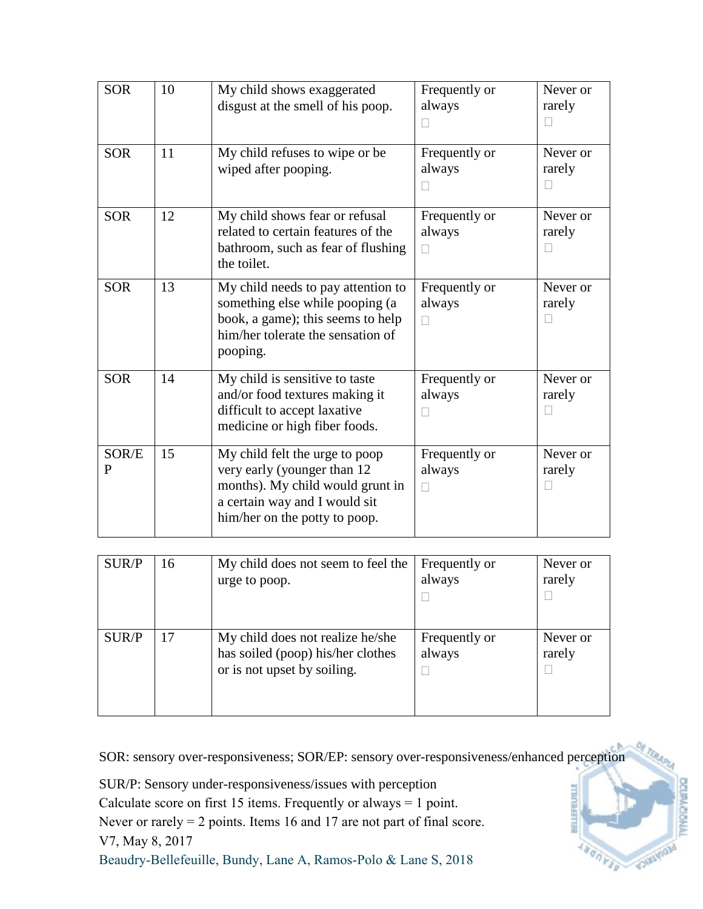| <b>SOR</b> | 10 | My child shows exaggerated<br>disgust at the smell of his poop.                                                                                                     | Frequently or<br>always           | Never or<br>rarely                 |
|------------|----|---------------------------------------------------------------------------------------------------------------------------------------------------------------------|-----------------------------------|------------------------------------|
| <b>SOR</b> | 11 | My child refuses to wipe or be<br>wiped after pooping.                                                                                                              | Frequently or<br>always           | Never or<br>rarely<br>$\mathbf{L}$ |
| <b>SOR</b> | 12 | My child shows fear or refusal<br>related to certain features of the<br>bathroom, such as fear of flushing<br>the toilet.                                           | Frequently or<br>always<br>$\Box$ | Never or<br>rarely<br>П            |
| <b>SOR</b> | 13 | My child needs to pay attention to<br>something else while pooping (a<br>book, a game); this seems to help<br>him/her tolerate the sensation of<br>pooping.         | Frequently or<br>always<br>$\Box$ | Never or<br>rarely<br>П            |
| <b>SOR</b> | 14 | My child is sensitive to taste<br>and/or food textures making it<br>difficult to accept laxative<br>medicine or high fiber foods.                                   | Frequently or<br>always<br>Н      | Never or<br>rarely                 |
| SOR/E<br>P | 15 | My child felt the urge to poop<br>very early (younger than 12<br>months). My child would grunt in<br>a certain way and I would sit<br>him/her on the potty to poop. | Frequently or<br>always           | Never or<br>rarely                 |

| SUR/P | 16 | My child does not seem to feel the<br>urge to poop.                                                  | Frequently or<br>always | Never or<br>rarely |
|-------|----|------------------------------------------------------------------------------------------------------|-------------------------|--------------------|
| SUR/P | 17 | My child does not realize he/she<br>has soiled (poop) his/her clothes<br>or is not upset by soiling. | Frequently or<br>always | Never or<br>rarely |

SOR: sensory over-responsiveness; SOR/EP: sensory over-responsiveness/enhanced perception

SUR/P: Sensory under-responsiveness/issues with perception

Calculate score on first 15 items. Frequently or always = 1 point.

Never or rarely = 2 points. Items 16 and 17 are not part of final score.

V7, May 8, 2017

Beaudry-Bellefeuille, Bundy, Lane A, Ramos-Polo & Lane S, 2018

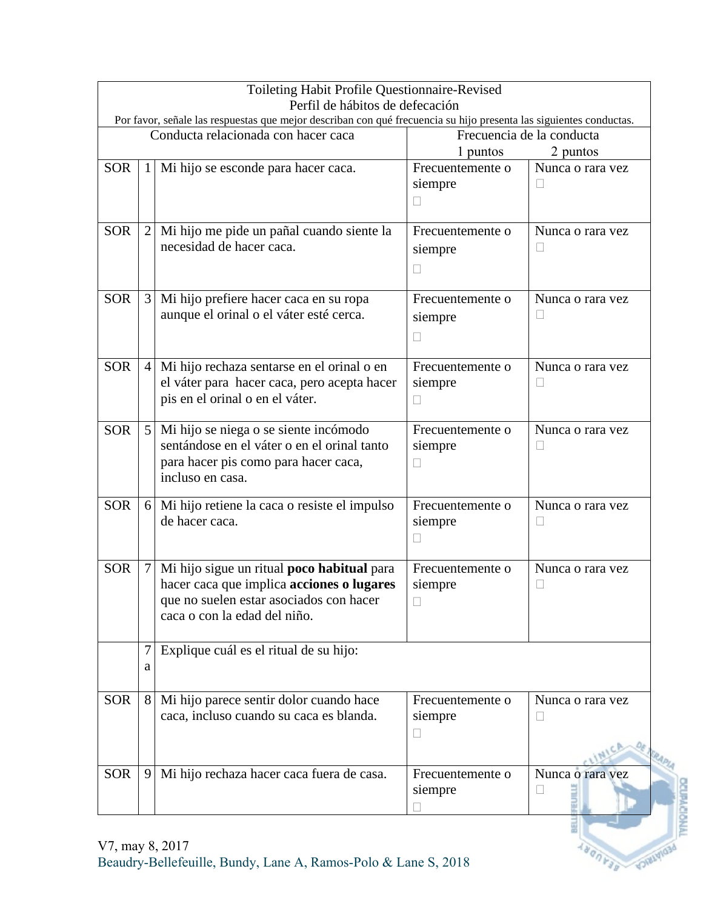|            |                | Toileting Habit Profile Questionnaire-Revised<br>Perfil de hábitos de defecación                                                                                   |                                                   |                                    |  |
|------------|----------------|--------------------------------------------------------------------------------------------------------------------------------------------------------------------|---------------------------------------------------|------------------------------------|--|
|            |                | Por favor, señale las respuestas que mejor describan con qué frecuencia su hijo presenta las siguientes conductas.                                                 |                                                   |                                    |  |
|            |                | Conducta relacionada con hacer caca                                                                                                                                | Frecuencia de la conducta<br>1 puntos<br>2 puntos |                                    |  |
| <b>SOR</b> | $\mathbf{1}$   | Mi hijo se esconde para hacer caca.                                                                                                                                | Frecuentemente o<br>siempre<br>$\mathbf{L}$       | Nunca o rara vez                   |  |
| <b>SOR</b> | $\overline{2}$ | Mi hijo me pide un pañal cuando siente la<br>necesidad de hacer caca.                                                                                              | Frecuentemente o<br>siempre<br>$\mathbf{L}$       | Nunca o rara vez                   |  |
| <b>SOR</b> | 3              | Mi hijo prefiere hacer caca en su ropa<br>aunque el orinal o el váter esté cerca.                                                                                  | Frecuentemente o<br>siempre                       | Nunca o rara vez<br>$\blacksquare$ |  |
| <b>SOR</b> | $\overline{4}$ | Mi hijo rechaza sentarse en el orinal o en<br>el váter para hacer caca, pero acepta hacer<br>pis en el orinal o en el váter.                                       | Frecuentemente o<br>siempre<br>$\mathbf{L}$       | Nunca o rara vez<br>П              |  |
| <b>SOR</b> | 5              | Mi hijo se niega o se siente incómodo<br>sentándose en el váter o en el orinal tanto<br>para hacer pis como para hacer caca,<br>incluso en casa.                   | Frecuentemente o<br>siempre<br>$\Box$             | Nunca o rara vez                   |  |
| <b>SOR</b> | 6              | Mi hijo retiene la caca o resiste el impulso<br>de hacer caca.                                                                                                     | Frecuentemente o<br>siempre<br>$\mathbf{I}$       | Nunca o rara vez<br>$\Box$         |  |
| <b>SOR</b> | 7              | Mi hijo sigue un ritual poco habitual para<br>hacer caca que implica acciones o lugares<br>que no suelen estar asociados con hacer<br>caca o con la edad del niño. | Frecuentemente o<br>siempre                       | Nunca o rara vez                   |  |
|            | 7<br>a         | Explique cuál es el ritual de su hijo:                                                                                                                             |                                                   |                                    |  |
| <b>SOR</b> | 8              | Mi hijo parece sentir dolor cuando hace<br>caca, incluso cuando su caca es blanda.                                                                                 | Frecuentemente o<br>siempre<br>$\mathbf{I}$       | Nunca o rara vez<br>⊔              |  |
| <b>SOR</b> | 9              | Mi hijo rechaza hacer caca fuera de casa.                                                                                                                          | Frecuentemente o<br>siempre                       | Nunca o rara vez<br>$\Box$         |  |